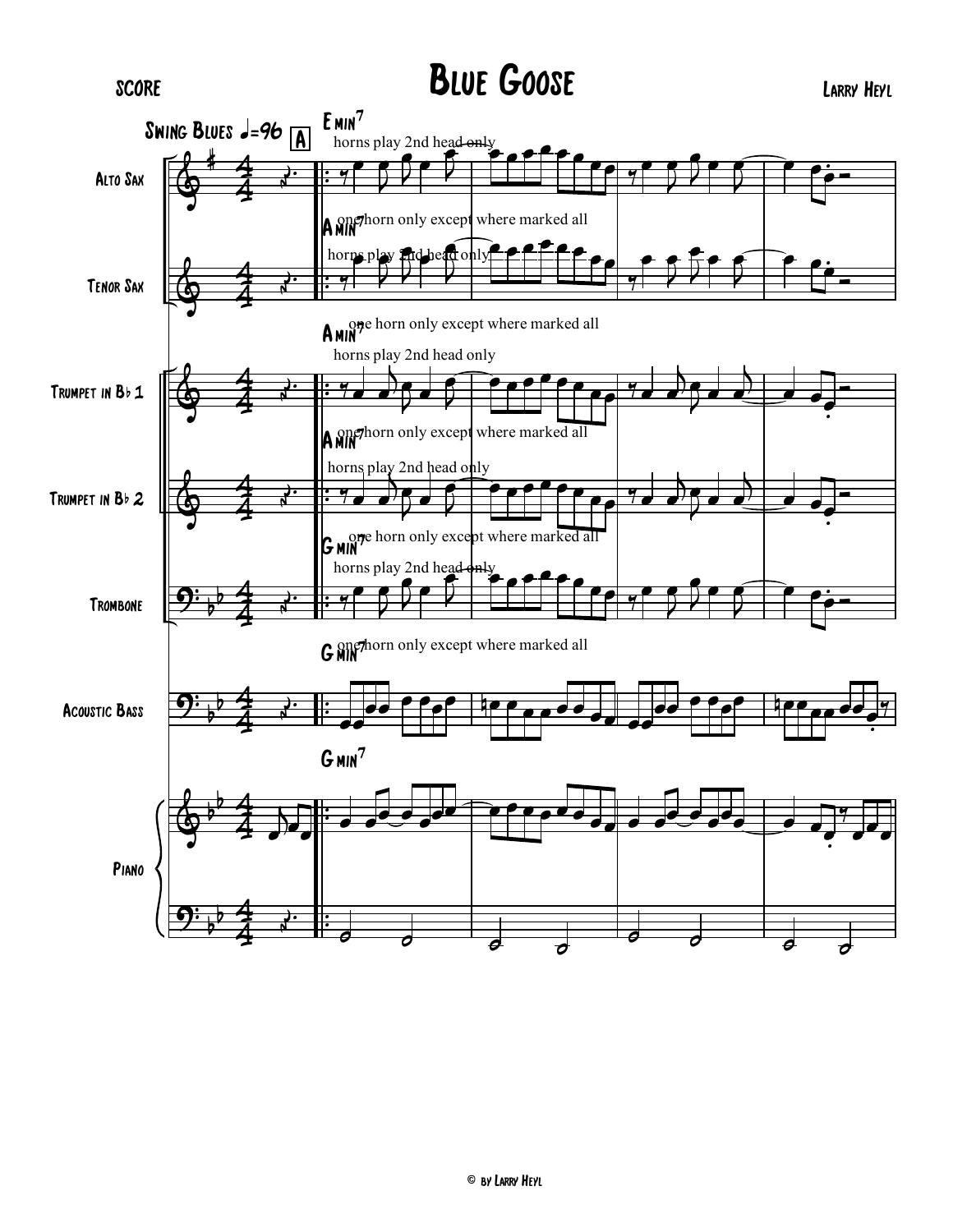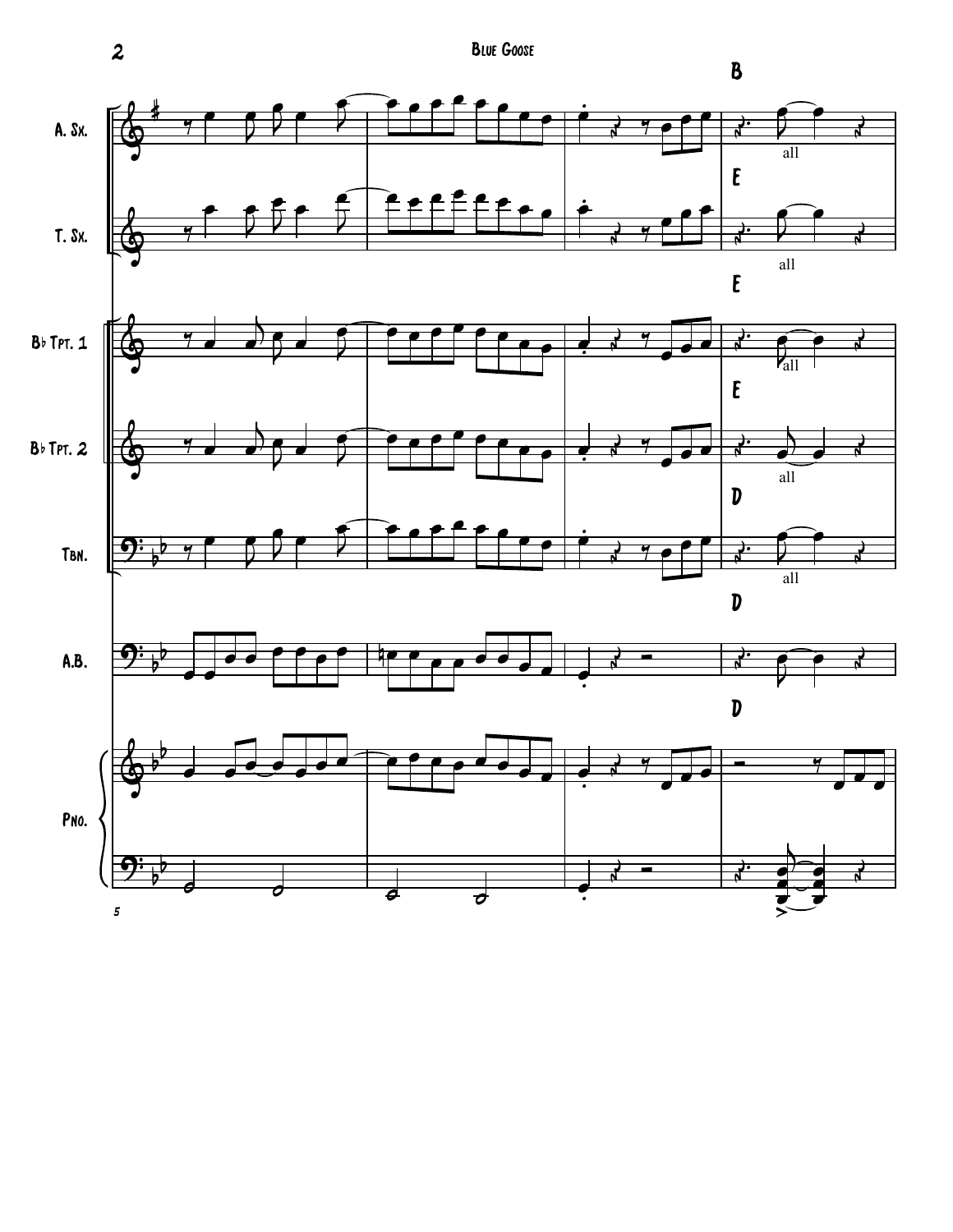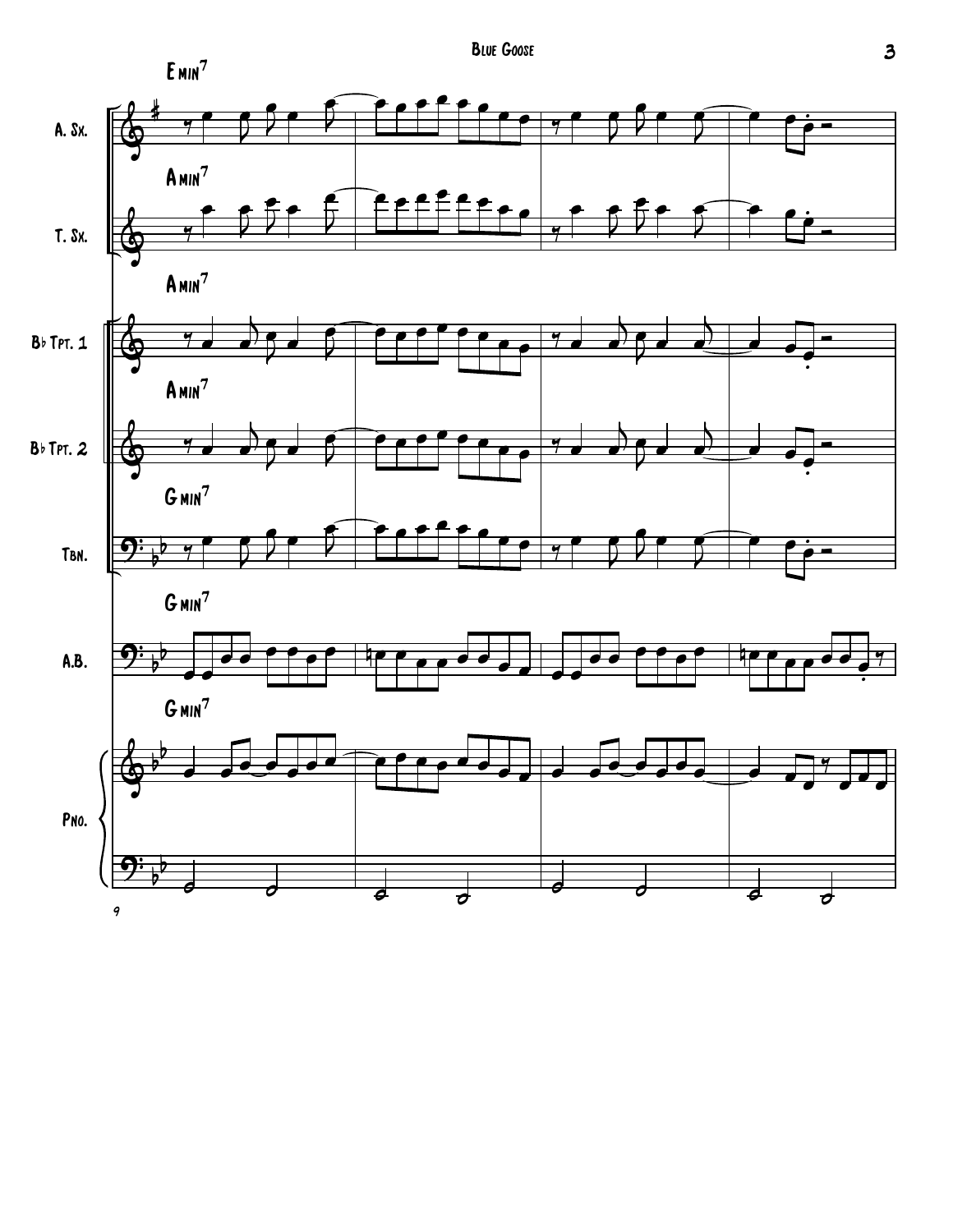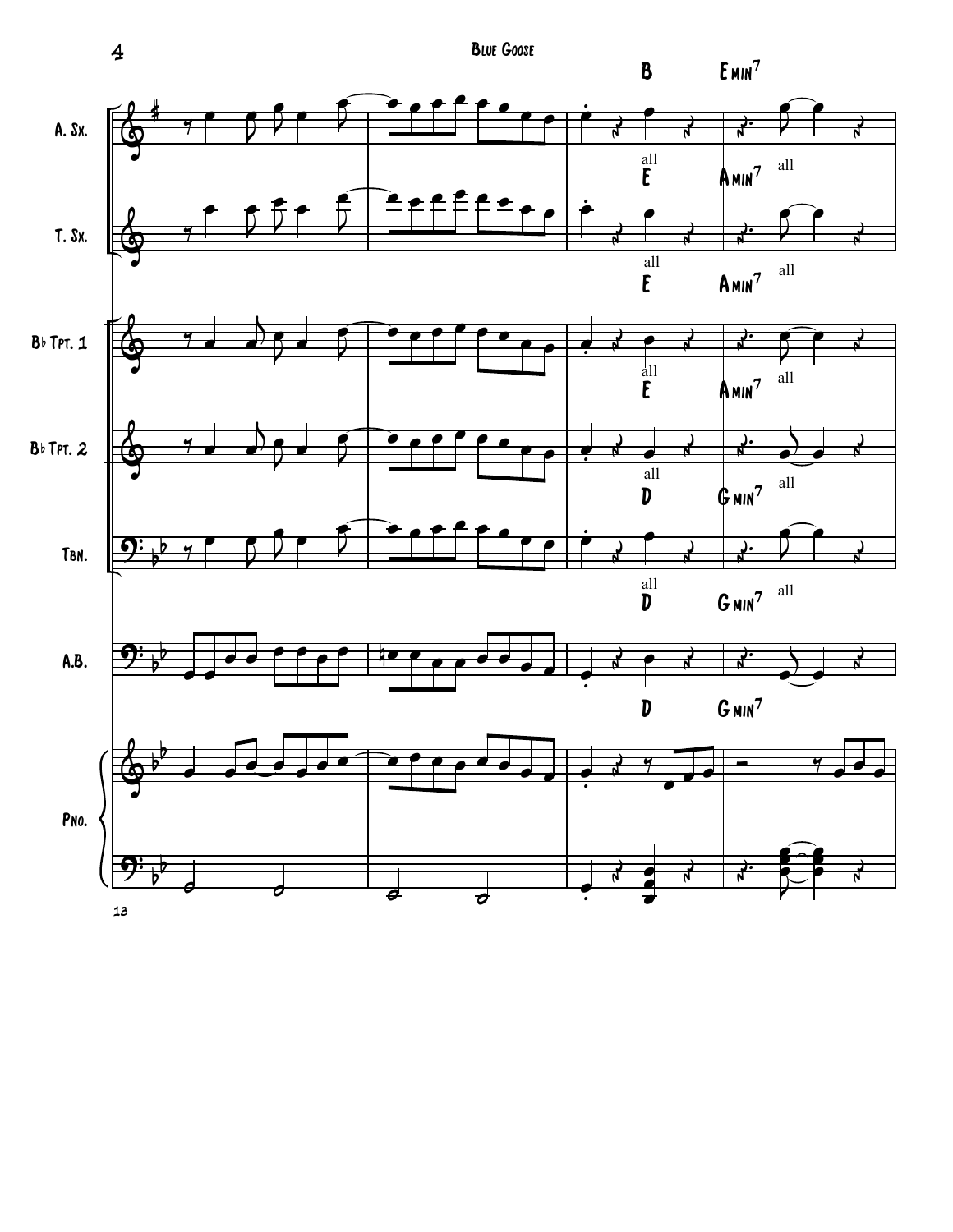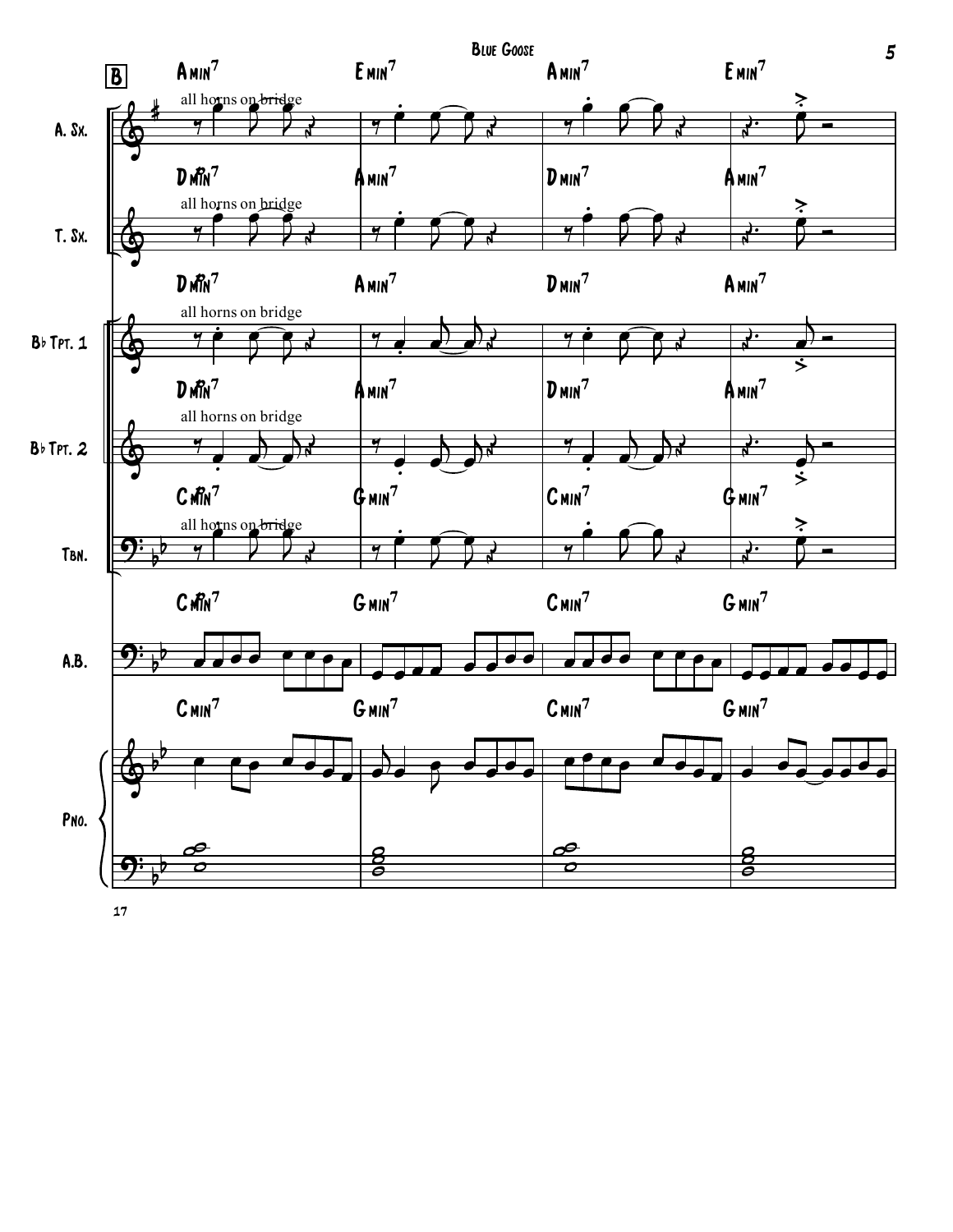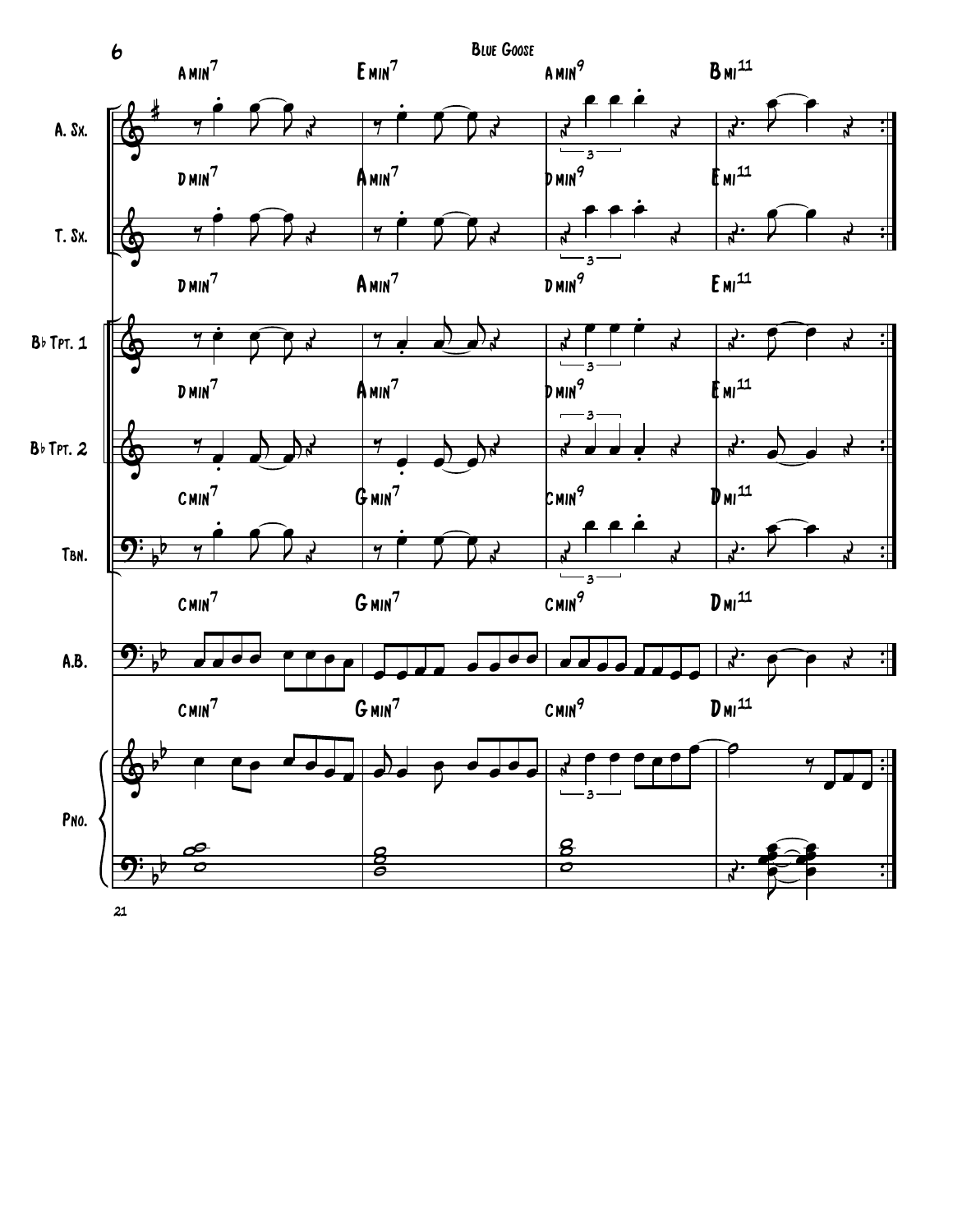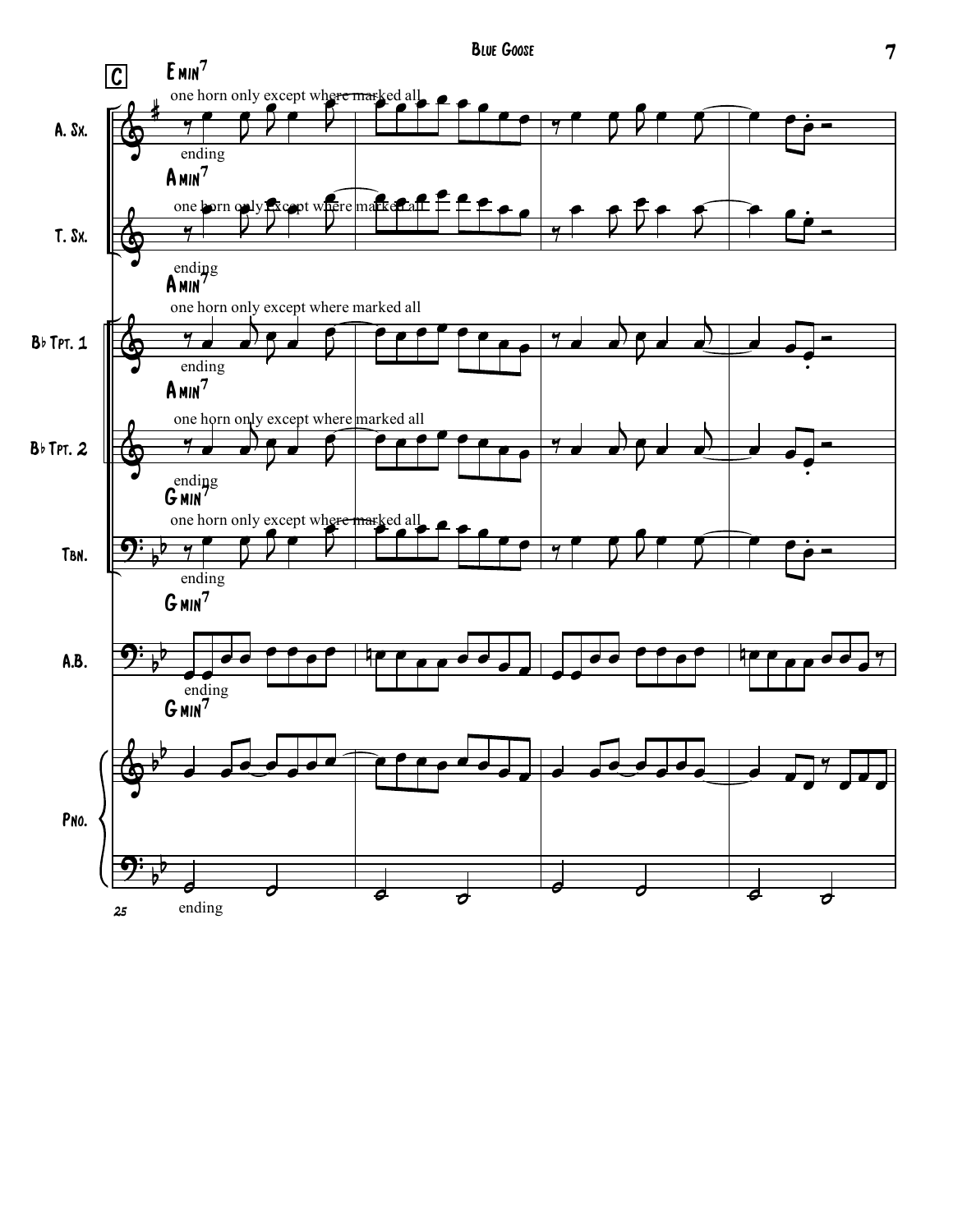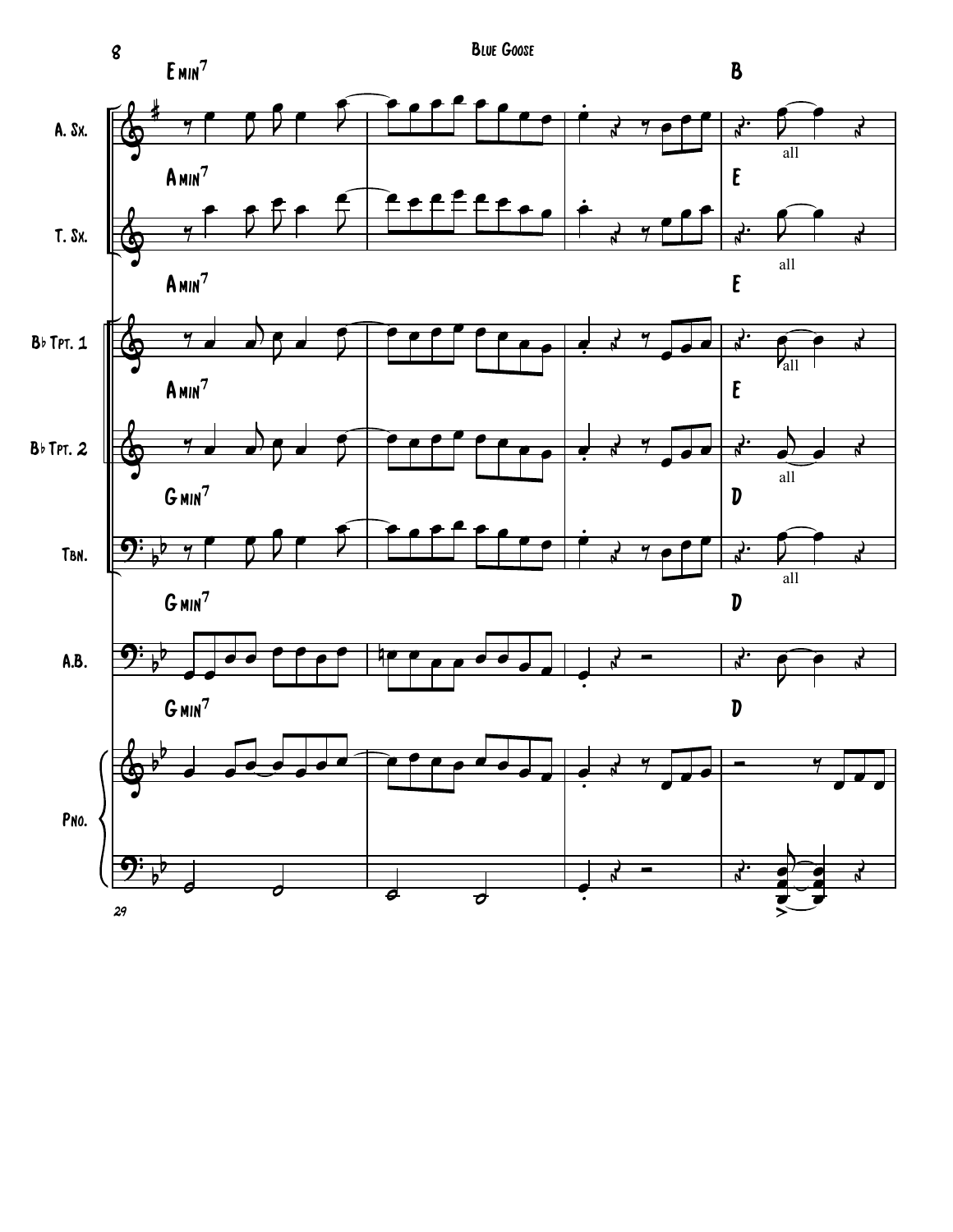